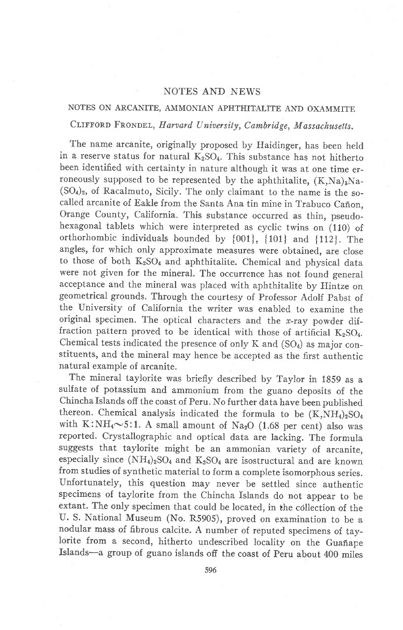## NOTES AND NEWS

# NOTES ON ARCANITE, AMMONIAN APHTHITALITE AND OXAMMITE CLIFFORD FRONDEL, Harvard University, Cambridge, Massachusetts.

The name arcanite, originally proposed by Haidinger, has been held in a reserve status for natural  $K_2SO_4$ . This substance has not hitherto been identified with certainty in nature although it was at one time erroneously supposed to be represented by the aphthitalite,  $(K,Na)_{3}Na (SO<sub>4</sub>)<sub>2</sub>$ , of Racalmuto, Sicily. The only claimant to the name is the socalled arcanite of Eakle from the Santa Ana tin mine in Trabuco Cañon, Orange County, California. This substance occurred as thin, pseudohexagonal tablets which were interpreted as cyclic twins on (110) of orthorhombic individuals bounded by {0011, {101} and {112}. The angles, for which only approximate measures were obtained, are close to those of both  $K_2SO_4$  and aphthitalite. Chemical and physical data were not given for the mineral. The occurrence has not found general acceptance and the mineral was placed with aphthitalite by Hintze on geometrical grounds. Through the courtesy of Professor Adolf pabst of the University of California the writer was enabled to examine the original specimen. The optical characters and the  $x$ -ray powder diffraction pattern proved to be identical with those of artificial  $K_2SO_4$ . Chemical tests indicated the presence of only  $K$  and  $(SO<sub>4</sub>)$  as major constituents, and the mineral may hence be accepted as the first authentic natural example of arcanite.

The mineral taylorite was briefly described by Taylor in 1859 as a sulfate of potassium and ammonium from the guano deposits of the Chincha Islands off the coast of Peru. No further data have been published thereon. Chemical analysis indicated the formula to be  $(K, NH<sub>4</sub>)<sub>2</sub>SO<sub>4</sub>$ with K:NH<sub>4</sub> $\sim$ 5:1. A small amount of Na<sub>2</sub>O (1.68 per cent) also was reported. Crystallographic and optical data are lacking. The formula suggests that taylorite might be an ammonian variety of arcanite, especially since  $(NH_4)_2SO_4$  and  $K_2SO_4$  are isostructural and are known from studies of synthetic material to form a complete isomorphous series. unfortunately, this question may never be settled since authentic specimens of taylorite from the Chincha fslands do not appear to be extant. The only specimen that could be located, in the collection of the U. S. National Museum (No. R5905), proved on examination to be a nodular mass of fibrous calcite. A number of reputed specimens of taylorite from a second, hitherto undescribed locality on the Guañape Islands-a group of guano islands off the coast of Peru about 400 miles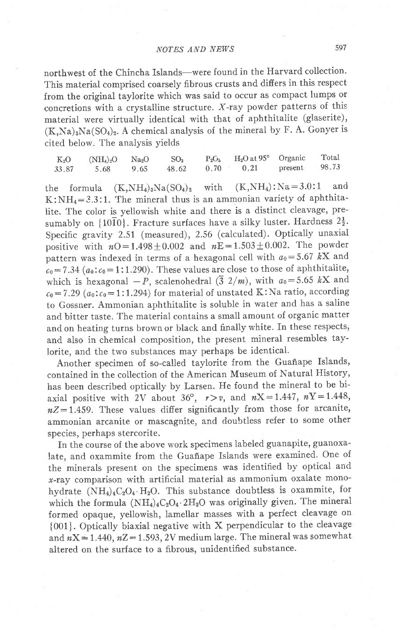# NOTES AND NEWS

northwest of the Chincha Islands-were found in the Harvard collection. This material comprised coarsely fibrous crusts and differs in this respect from the original taylorite which was said to occur as compact lumps or concretions with a crystalline structure. X-ray powder patterns of this material were virtually identical with that of aphthitalite (glaserite),  $(K,Na)_3Na(SO_4)_2$ . A chemical analysis of the mineral by F. A. Gonyer is cited below. The analysis yields

|       | $K_2O$ $(NH_4)_2O$ $Na_2O$ |      | SO <sub>3</sub> | $P_2O_5$ $H_2O$ at 95° Organic |         | Total |
|-------|----------------------------|------|-----------------|--------------------------------|---------|-------|
| 33.87 | 5.68                       | 9.65 | 48.62           | $0.70 \qquad 0.21$             | present | 98.73 |

the formula  $(K,NH_4)_3Na(SO_4)_2$  with  $(K,NH_4):Na=3.0:1$  and K:NH<sub>4</sub>=3.3:1. The mineral thus is an ammonian variety of aphthitalite. The color is yellowish white and there is a distinct cleavage, presumably on  $\{10\bar{1}0\}$ . Fracture surfaces have a silky luster. Hardness  $2\frac{1}{2}$ . Specific gravity 2.51 (measured), 2.56 (calculated). Optically unaxial positive with  $n0=1.498\pm0.002$  and  $nE=1.503\pm0.002$ . The powder pattern was indexed in terms of a hexagonal cell with  $a_0=5.67$  kX and  $c_0$  = 7.34 ( $a_0$ :  $c_0$  = 1:1.290). These values are close to those of aphthitalite, which is hexagonal  $-P$ , scalenohedral ( $\overline{3}$  2/m), with  $a_0=5.65$  kX and  $c_0$  = 7.29 ( $a_0$ : $c_0$  = 1:1.294) for material of unstated K:Na ratio, according to Gossner. Ammonian aphthitalite is soluble in water and has a saline and bitter taste. The material contains a small amount of organic matter and on heating turns brown or black and finally white. In these respects, and also in chemical composition, the present mineral resembles taylorite, and the two substances may perhaps be identical.

Another specimen of so-called taylorite from the Guañape Islands, contained in the collection of the American Museum of Natural History, has been described optically by Larsen. He found the mineral to be biaxial positive with 2V about 36°,  $r > v$ , and  $nX = 1.447$ ,  $nY = 1.448$ ,  $nZ=1.459$ . These values differ significantly from those for arcanite, ammonian arcanite or mascagnite, and doubtless refer to some other species, perhaps stercorite.

In the course of the above work specimens labeled guanapite, guanoxalate, and oxammite from the Guañape Islands were examined. One of the minerals present on the specimens was identified by optical and x-ray comparison with artificial material as ammonium oxalate monohydrate  $(NH_4)_4C_2O_4$  H<sub>2</sub>O. This substance doubtless is oxammite, for which the formula  $(NH_4)_4C_2O_4.2H_2O$  was originally given. The mineral formed opaque, yellowish, lamellar masses with a perfect cleavage on {001}. Optically biaxial negative with X perpendicular to the cleavage and  $nX = 1.440$ ,  $nZ = 1.593$ , 2V medium large. The mineral was somewhat altered on the surface to a fibrous. unidentified substance.